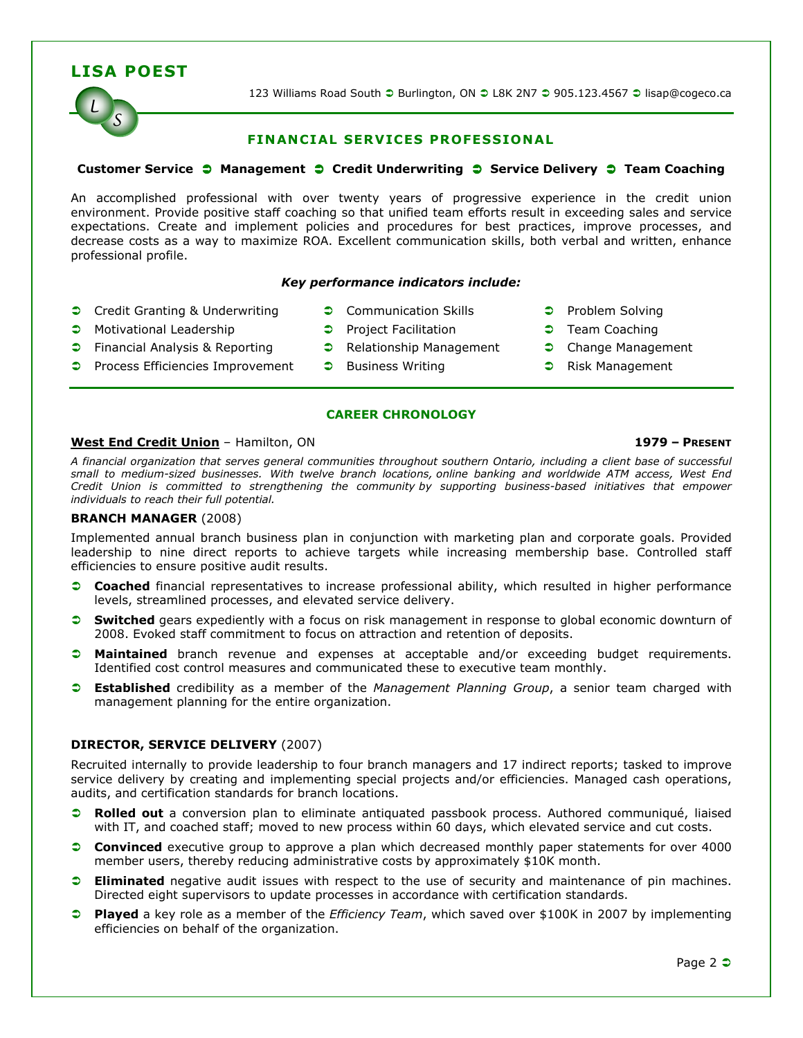# LISA POEST



123 Williams Road South ● Burlington, ON ● L8K 2N7 ● 905.123.4567 ● lisap@cogeco.ca

# FINANCIAL SERVICES PROFESSIONAL

# Customer Service  $\bullet$  Management  $\bullet$  Credit Underwriting  $\bullet$  Service Delivery  $\bullet$  Team Coaching

An accomplished professional with over twenty years of progressive experience in the credit union environment. Provide positive staff coaching so that unified team efforts result in exceeding sales and service expectations. Create and implement policies and procedures for best practices, improve processes, and decrease costs as a way to maximize ROA. Excellent communication skills, both verbal and written, enhance professional profile.

### Key performance indicators include:

- Credit Granting & Underwriting Communication Skills • Problem Solving
- **C** Motivational Leadership **C** Project Facilitation **C** Team Coaching
- Financial Analysis & Reporting Relationship Management Change Management
- Process Efficiencies Improvement Business Writing **COM** Risk Management
- -
- 
- 
- 
- 

# CAREER CHRONOLOGY

# West End Credit Union – Hamilton, ON 1979 – PRESENT

A financial organization that serves general communities throughout southern Ontario, including a client base of successful small to medium-sized businesses. With twelve branch locations, online banking and worldwide ATM access, West End Credit Union is committed to strengthening the community by supporting business-based initiatives that empower individuals to reach their full potential.

# BRANCH MANAGER (2008)

Implemented annual branch business plan in conjunction with marketing plan and corporate goals. Provided leadership to nine direct reports to achieve targets while increasing membership base. Controlled staff efficiencies to ensure positive audit results.

- Coached financial representatives to increase professional ability, which resulted in higher performance levels, streamlined processes, and elevated service delivery.
- **Switched** gears expediently with a focus on risk management in response to global economic downturn of 2008. Evoked staff commitment to focus on attraction and retention of deposits.
- **C** Maintained branch revenue and expenses at acceptable and/or exceeding budget requirements. Identified cost control measures and communicated these to executive team monthly.
- **Constablished** credibility as a member of the Management Planning Group, a senior team charged with management planning for the entire organization.

# DIRECTOR, SERVICE DELIVERY (2007)

Recruited internally to provide leadership to four branch managers and 17 indirect reports; tasked to improve service delivery by creating and implementing special projects and/or efficiencies. Managed cash operations, audits, and certification standards for branch locations.

- Rolled out a conversion plan to eliminate antiquated passbook process. Authored communiqué, liaised with IT, and coached staff; moved to new process within 60 days, which elevated service and cut costs.
- **Convinced** executive group to approve a plan which decreased monthly paper statements for over 4000 member users, thereby reducing administrative costs by approximately \$10K month.
- **Eliminated** negative audit issues with respect to the use of security and maintenance of pin machines. Directed eight supervisors to update processes in accordance with certification standards.
- **Played** a key role as a member of the *Efficiency Team*, which saved over \$100K in 2007 by implementing efficiencies on behalf of the organization.